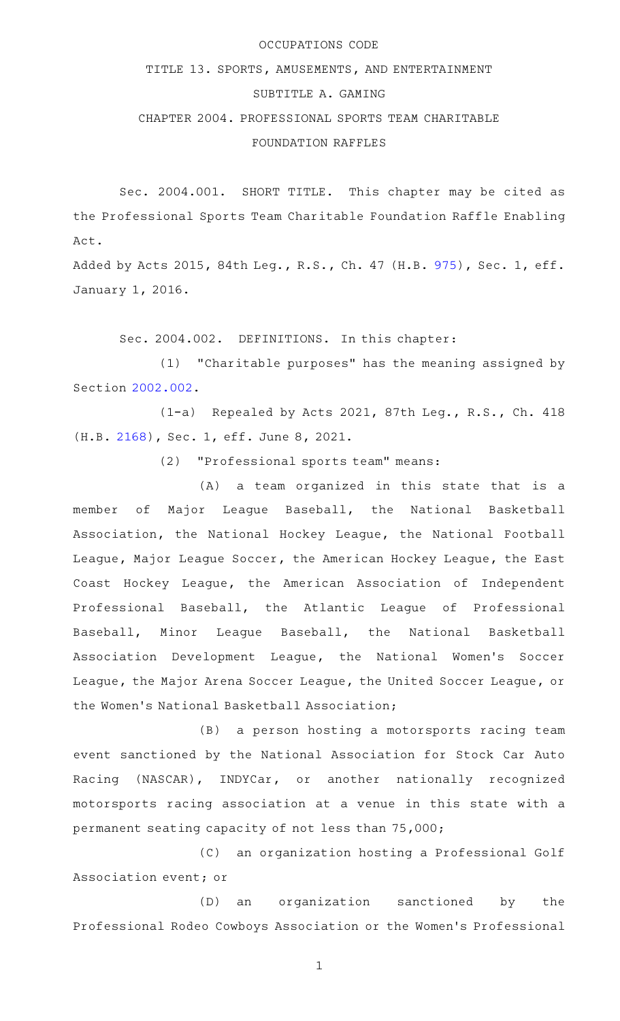## OCCUPATIONS CODE

## TITLE 13. SPORTS, AMUSEMENTS, AND ENTERTAINMENT SUBTITLE A. GAMING CHAPTER 2004. PROFESSIONAL SPORTS TEAM CHARITABLE FOUNDATION RAFFLES

Sec. 2004.001. SHORT TITLE. This chapter may be cited as the Professional Sports Team Charitable Foundation Raffle Enabling Act.

Added by Acts 2015, 84th Leg., R.S., Ch. 47 (H.B. [975](http://www.legis.state.tx.us/tlodocs/84R/billtext/html/HB00975F.HTM)), Sec. 1, eff. January 1, 2016.

Sec. 2004.002. DEFINITIONS. In this chapter:

(1) "Charitable purposes" has the meaning assigned by Section [2002.002](https://statutes.capitol.texas.gov/GetStatute.aspx?Code=OC&Value=2002.002).

(1-a) Repealed by Acts 2021, 87th Leg., R.S., Ch. 418 (H.B. [2168\)](http://www.legis.state.tx.us/tlodocs/87R/billtext/html/HB02168F.HTM), Sec. 1, eff. June 8, 2021.

(2) "Professional sports team" means:

(A) a team organized in this state that is a member of Major League Baseball, the National Basketball Association, the National Hockey League, the National Football League, Major League Soccer, the American Hockey League, the East Coast Hockey League, the American Association of Independent Professional Baseball, the Atlantic League of Professional Baseball, Minor League Baseball, the National Basketball Association Development League, the National Women's Soccer League, the Major Arena Soccer League, the United Soccer League, or the Women's National Basketball Association;

(B) a person hosting a motorsports racing team event sanctioned by the National Association for Stock Car Auto Racing (NASCAR), INDYCar, or another nationally recognized motorsports racing association at a venue in this state with a permanent seating capacity of not less than 75,000;

(C) an organization hosting a Professional Golf Association event; or

(D) an organization sanctioned by the Professional Rodeo Cowboys Association or the Women 's Professional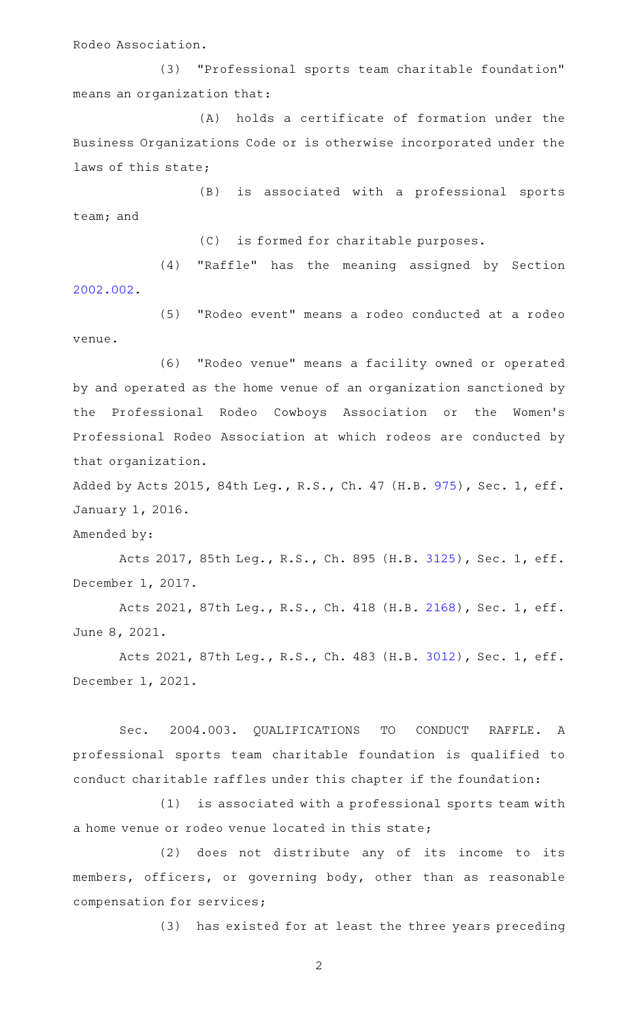Rodeo Association.

(3) "Professional sports team charitable foundation" means an organization that:

(A) holds a certificate of formation under the Business Organizations Code or is otherwise incorporated under the laws of this state;

(B) is associated with a professional sports team; and

 $(C)$  is formed for charitable purposes.

(4) "Raffle" has the meaning assigned by Section [2002.002](https://statutes.capitol.texas.gov/GetStatute.aspx?Code=OC&Value=2002.002).

(5) "Rodeo event" means a rodeo conducted at a rodeo venue.

(6) "Rodeo venue" means a facility owned or operated by and operated as the home venue of an organization sanctioned by the Professional Rodeo Cowboys Association or the Women 's Professional Rodeo Association at which rodeos are conducted by that organization.

Added by Acts 2015, 84th Leg., R.S., Ch. 47 (H.B. [975](http://www.legis.state.tx.us/tlodocs/84R/billtext/html/HB00975F.HTM)), Sec. 1, eff. January 1, 2016.

Amended by:

Acts 2017, 85th Leg., R.S., Ch. 895 (H.B. [3125](http://www.legis.state.tx.us/tlodocs/85R/billtext/html/HB03125F.HTM)), Sec. 1, eff. December 1, 2017.

Acts 2021, 87th Leg., R.S., Ch. 418 (H.B. [2168](http://www.legis.state.tx.us/tlodocs/87R/billtext/html/HB02168F.HTM)), Sec. 1, eff. June 8, 2021.

Acts 2021, 87th Leg., R.S., Ch. 483 (H.B. [3012](http://www.legis.state.tx.us/tlodocs/87R/billtext/html/HB03012F.HTM)), Sec. 1, eff. December 1, 2021.

Sec. 2004.003. QUALIFICATIONS TO CONDUCT RAFFLE. A professional sports team charitable foundation is qualified to conduct charitable raffles under this chapter if the foundation:

(1) is associated with a professional sports team with a home venue or rodeo venue located in this state;

(2) does not distribute any of its income to its members, officers, or governing body, other than as reasonable compensation for services;

(3) has existed for at least the three years preceding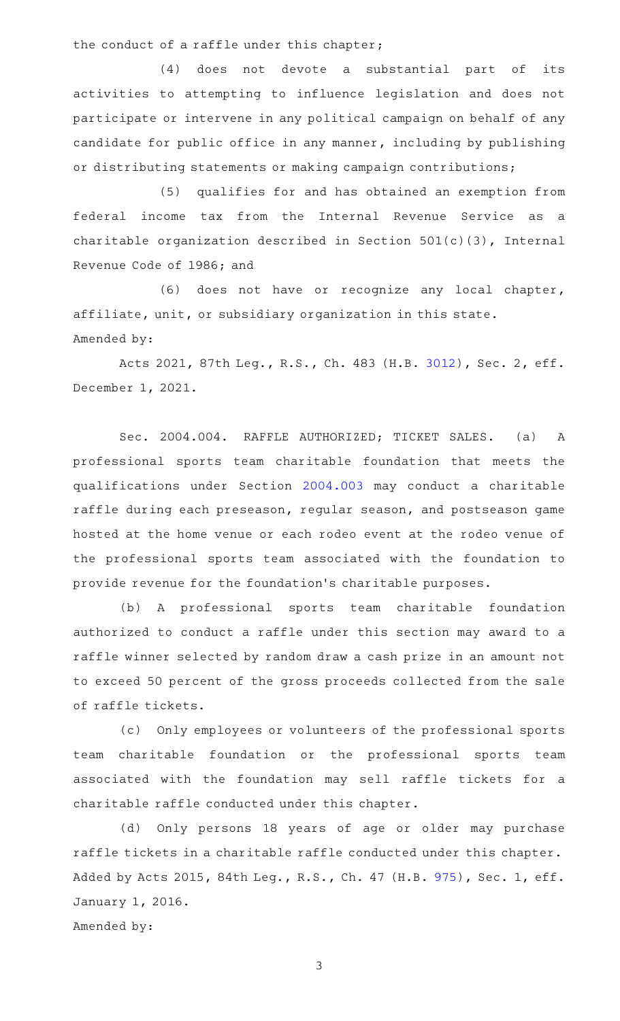the conduct of a raffle under this chapter;

(4) does not devote a substantial part of its activities to attempting to influence legislation and does not participate or intervene in any political campaign on behalf of any candidate for public office in any manner, including by publishing or distributing statements or making campaign contributions;

(5) qualifies for and has obtained an exemption from federal income tax from the Internal Revenue Service as a charitable organization described in Section 501(c)(3), Internal Revenue Code of 1986; and

(6) does not have or recognize any local chapter, affiliate, unit, or subsidiary organization in this state. Amended by:

Acts 2021, 87th Leg., R.S., Ch. 483 (H.B. [3012](http://www.legis.state.tx.us/tlodocs/87R/billtext/html/HB03012F.HTM)), Sec. 2, eff. December 1, 2021.

Sec. 2004.004. RAFFLE AUTHORIZED; TICKET SALES. (a) A professional sports team charitable foundation that meets the qualifications under Section [2004.003](https://statutes.capitol.texas.gov/GetStatute.aspx?Code=OC&Value=2004.003) may conduct a charitable raffle during each preseason, regular season, and postseason game hosted at the home venue or each rodeo event at the rodeo venue of the professional sports team associated with the foundation to provide revenue for the foundation 's charitable purposes.

(b) A professional sports team charitable foundation authorized to conduct a raffle under this section may award to a raffle winner selected by random draw a cash prize in an amount not to exceed 50 percent of the gross proceeds collected from the sale of raffle tickets.

(c) Only employees or volunteers of the professional sports team charitable foundation or the professional sports team associated with the foundation may sell raffle tickets for a charitable raffle conducted under this chapter.

(d) Only persons 18 years of age or older may purchase raffle tickets in a charitable raffle conducted under this chapter. Added by Acts 2015, 84th Leg., R.S., Ch. 47 (H.B. [975](http://www.legis.state.tx.us/tlodocs/84R/billtext/html/HB00975F.HTM)), Sec. 1, eff. January 1, 2016.

Amended by: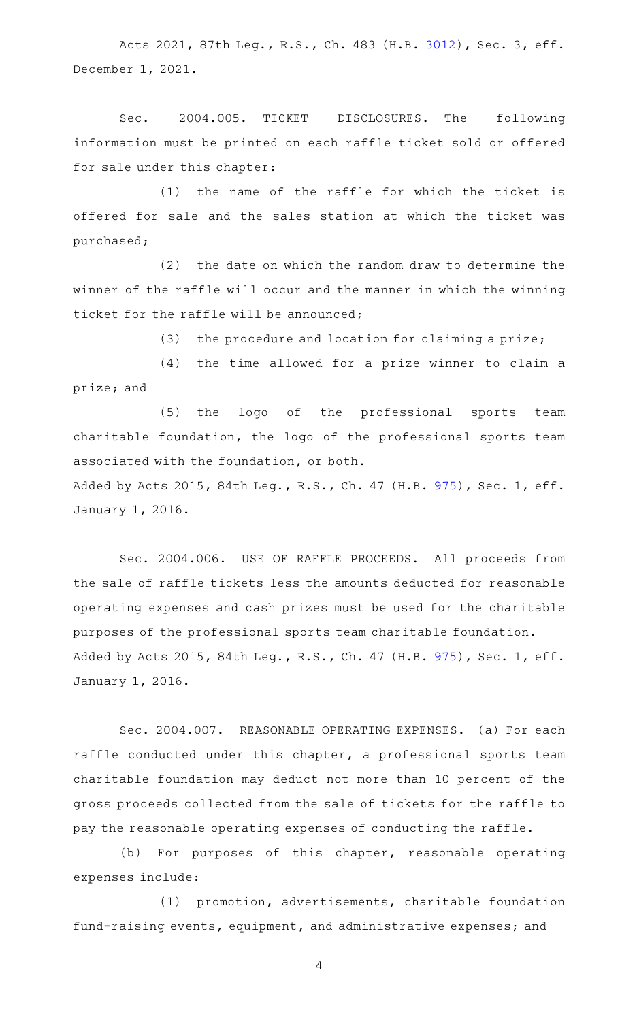Acts 2021, 87th Leg., R.S., Ch. 483 (H.B. [3012](http://www.legis.state.tx.us/tlodocs/87R/billtext/html/HB03012F.HTM)), Sec. 3, eff. December 1, 2021.

Sec. 2004.005. TICKET DISCLOSURES. The following information must be printed on each raffle ticket sold or offered for sale under this chapter:

 $(1)$  the name of the raffle for which the ticket is offered for sale and the sales station at which the ticket was purchased;

 $(2)$  the date on which the random draw to determine the winner of the raffle will occur and the manner in which the winning ticket for the raffle will be announced;

(3) the procedure and location for claiming a prize;

(4) the time allowed for a prize winner to claim a prize; and

(5) the logo of the professional sports team charitable foundation, the logo of the professional sports team associated with the foundation, or both. Added by Acts 2015, 84th Leg., R.S., Ch. 47 (H.B. [975](http://www.legis.state.tx.us/tlodocs/84R/billtext/html/HB00975F.HTM)), Sec. 1, eff.

January 1, 2016.

Sec. 2004.006. USE OF RAFFLE PROCEEDS. All proceeds from the sale of raffle tickets less the amounts deducted for reasonable operating expenses and cash prizes must be used for the charitable purposes of the professional sports team charitable foundation. Added by Acts 2015, 84th Leg., R.S., Ch. 47 (H.B. [975](http://www.legis.state.tx.us/tlodocs/84R/billtext/html/HB00975F.HTM)), Sec. 1, eff. January 1, 2016.

Sec. 2004.007. REASONABLE OPERATING EXPENSES. (a) For each raffle conducted under this chapter, a professional sports team charitable foundation may deduct not more than 10 percent of the gross proceeds collected from the sale of tickets for the raffle to pay the reasonable operating expenses of conducting the raffle.

(b) For purposes of this chapter, reasonable operating expenses include:

(1) promotion, advertisements, charitable foundation fund-raising events, equipment, and administrative expenses; and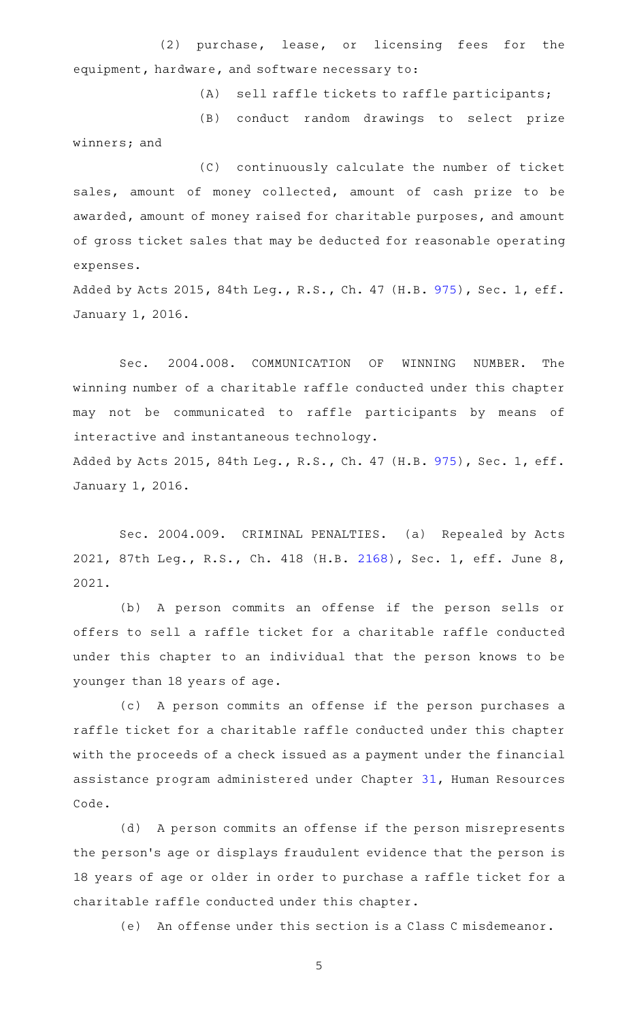(2) purchase, lease, or licensing fees for the equipment, hardware, and software necessary to:

(A) sell raffle tickets to raffle participants;

(B) conduct random drawings to select prize winners; and

(C) continuously calculate the number of ticket sales, amount of money collected, amount of cash prize to be awarded, amount of money raised for charitable purposes, and amount of gross ticket sales that may be deducted for reasonable operating expenses.

Added by Acts 2015, 84th Leg., R.S., Ch. 47 (H.B. [975](http://www.legis.state.tx.us/tlodocs/84R/billtext/html/HB00975F.HTM)), Sec. 1, eff. January 1, 2016.

Sec. 2004.008. COMMUNICATION OF WINNING NUMBER. The winning number of a charitable raffle conducted under this chapter may not be communicated to raffle participants by means of interactive and instantaneous technology. Added by Acts 2015, 84th Leg., R.S., Ch. 47 (H.B. [975](http://www.legis.state.tx.us/tlodocs/84R/billtext/html/HB00975F.HTM)), Sec. 1, eff.

January 1, 2016.

Sec. 2004.009. CRIMINAL PENALTIES. (a) Repealed by Acts 2021, 87th Leg., R.S., Ch. 418 (H.B. [2168](http://www.legis.state.tx.us/tlodocs/87R/billtext/html/HB02168F.HTM)), Sec. 1, eff. June 8, 2021.

(b) A person commits an offense if the person sells or offers to sell a raffle ticket for a charitable raffle conducted under this chapter to an individual that the person knows to be younger than 18 years of age.

(c) A person commits an offense if the person purchases a raffle ticket for a charitable raffle conducted under this chapter with the proceeds of a check issued as a payment under the financial assistance program administered under Chapter [31,](https://statutes.capitol.texas.gov/GetStatute.aspx?Code=HR&Value=31) Human Resources Code.

(d) A person commits an offense if the person misrepresents the person's age or displays fraudulent evidence that the person is 18 years of age or older in order to purchase a raffle ticket for a charitable raffle conducted under this chapter.

(e) An offense under this section is a Class C misdemeanor.